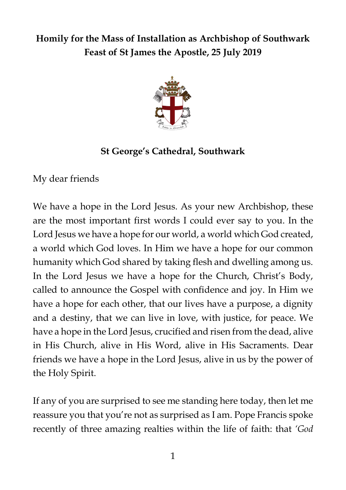## **Homily for the Mass of Installation as Archbishop of Southwark Feast of St James the Apostle, 25 July 2019**



## **St George's Cathedral, Southwark**

My dear friends

We have a hope in the Lord Jesus. As your new Archbishop, these are the most important first words I could ever say to you. In the Lord Jesus we have a hope for our world, a world which God created, a world which God loves. In Him we have a hope for our common humanity which God shared by taking flesh and dwelling among us. In the Lord Jesus we have a hope for the Church, Christ's Body, called to announce the Gospel with confidence and joy. In Him we have a hope for each other, that our lives have a purpose, a dignity and a destiny, that we can live in love, with justice, for peace. We have a hope in the Lord Jesus, crucified and risen from the dead, alive in His Church, alive in His Word, alive in His Sacraments. Dear friends we have a hope in the Lord Jesus, alive in us by the power of the Holy Spirit.

If any of you are surprised to see me standing here today, then let me reassure you that you're not as surprised as I am. Pope Francis spoke recently of three amazing realties within the life of faith: that *'God*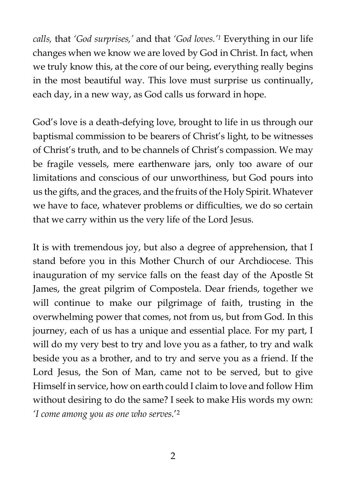*calls,* that *'God surprises,'* and that *'God loves.'<sup>1</sup>* Everything in our life changes when we know we are loved by God in Christ. In fact, when we truly know this, at the core of our being, everything really begins in the most beautiful way. This love must surprise us continually, each day, in a new way, as God calls us forward in hope.

God's love is a death-defying love, brought to life in us through our baptismal commission to be bearers of Christ's light, to be witnesses of Christ's truth, and to be channels of Christ's compassion. We may be fragile vessels, mere earthenware jars, only too aware of our limitations and conscious of our unworthiness, but God pours into us the gifts, and the graces, and the fruits of the Holy Spirit. Whatever we have to face, whatever problems or difficulties, we do so certain that we carry within us the very life of the Lord Jesus.

It is with tremendous joy, but also a degree of apprehension, that I stand before you in this Mother Church of our Archdiocese. This inauguration of my service falls on the feast day of the Apostle St James, the great pilgrim of Compostela. Dear friends, together we will continue to make our pilgrimage of faith, trusting in the overwhelming power that comes, not from us, but from God. In this journey, each of us has a unique and essential place. For my part, I will do my very best to try and love you as a father, to try and walk beside you as a brother, and to try and serve you as a friend. If the Lord Jesus, the Son of Man, came not to be served, but to give Himself in service, how on earth could I claim to love and follow Him without desiring to do the same? I seek to make His words my own: *'I come among you as one who serves.*' 2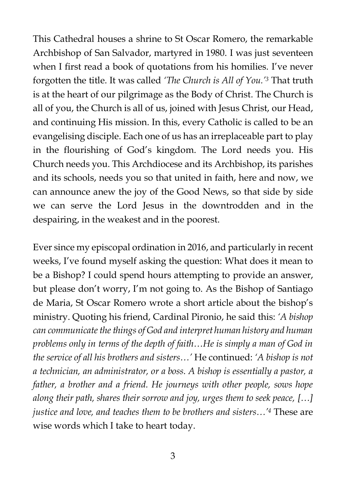This Cathedral houses a shrine to St Oscar Romero, the remarkable Archbishop of San Salvador, martyred in 1980. I was just seventeen when I first read a book of quotations from his homilies. I've never forgotten the title. It was called *'The Church is All of You.'<sup>3</sup>* That truth is at the heart of our pilgrimage as the Body of Christ. The Church is all of you, the Church is all of us, joined with Jesus Christ, our Head, and continuing His mission. In this, every Catholic is called to be an evangelising disciple. Each one of us has an irreplaceable part to play in the flourishing of God's kingdom. The Lord needs you. His Church needs you. This Archdiocese and its Archbishop, its parishes and its schools, needs you so that united in faith, here and now, we can announce anew the joy of the Good News, so that side by side we can serve the Lord Jesus in the downtrodden and in the despairing, in the weakest and in the poorest.

Ever since my episcopal ordination in 2016, and particularly in recent weeks, I've found myself asking the question: What does it mean to be a Bishop? I could spend hours attempting to provide an answer, but please don't worry, I'm not going to. As the Bishop of Santiago de Maria, St Oscar Romero wrote a short article about the bishop's ministry. Quoting his friend, Cardinal Pironio, he said this: *'A bishop can communicate the things of God and interpret human history and human problems only in terms of the depth of faith…He is simply a man of God in the service of all his brothers and sisters…'* He continued: *'A bishop is not a technician, an administrator, or a boss. A bishop is essentially a pastor, a*  father, a brother and a friend. He journeys with other people, sows hope *along their path, shares their sorrow and joy, urges them to seek peace, […] justice and love, and teaches them to be brothers and sisters…'<sup>4</sup>* These are wise words which I take to heart today.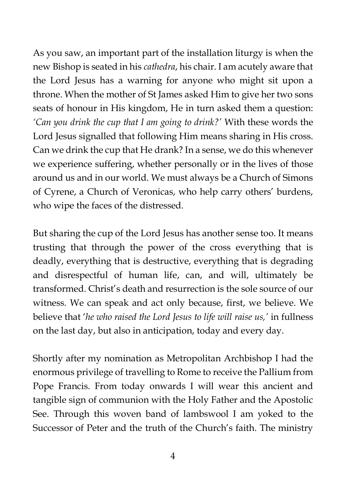As you saw, an important part of the installation liturgy is when the new Bishop is seated in his *cathedra*, his chair. I am acutely aware that the Lord Jesus has a warning for anyone who might sit upon a throne. When the mother of St James asked Him to give her two sons seats of honour in His kingdom, He in turn asked them a question: *'Can you drink the cup that I am going to drink?'* With these words the Lord Jesus signalled that following Him means sharing in His cross. Can we drink the cup that He drank? In a sense, we do this whenever we experience suffering, whether personally or in the lives of those around us and in our world. We must always be a Church of Simons of Cyrene, a Church of Veronicas, who help carry others' burdens, who wipe the faces of the distressed.

But sharing the cup of the Lord Jesus has another sense too. It means trusting that through the power of the cross everything that is deadly, everything that is destructive, everything that is degrading and disrespectful of human life, can, and will, ultimately be transformed. Christ's death and resurrection is the sole source of our witness. We can speak and act only because, first, we believe. We believe that '*he who raised the Lord Jesus to life will raise us,'* in fullness on the last day, but also in anticipation, today and every day.

Shortly after my nomination as Metropolitan Archbishop I had the enormous privilege of travelling to Rome to receive the Pallium from Pope Francis. From today onwards I will wear this ancient and tangible sign of communion with the Holy Father and the Apostolic See. Through this woven band of lambswool I am yoked to the Successor of Peter and the truth of the Church's faith. The ministry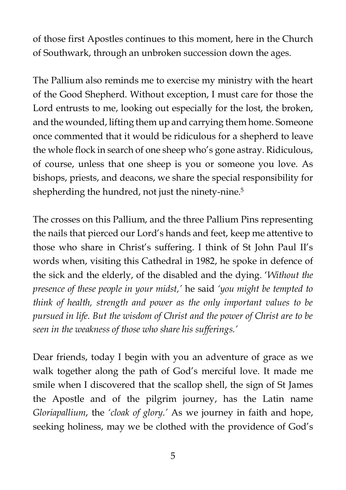of those first Apostles continues to this moment, here in the Church of Southwark, through an unbroken succession down the ages.

The Pallium also reminds me to exercise my ministry with the heart of the Good Shepherd. Without exception, I must care for those the Lord entrusts to me, looking out especially for the lost, the broken, and the wounded, lifting them up and carrying them home. Someone once commented that it would be ridiculous for a shepherd to leave the whole flock in search of one sheep who's gone astray. Ridiculous, of course, unless that one sheep is you or someone you love. As bishops, priests, and deacons, we share the special responsibility for shepherding the hundred, not just the ninety-nine.<sup>5</sup>

The crosses on this Pallium, and the three Pallium Pins representing the nails that pierced our Lord's hands and feet, keep me attentive to those who share in Christ's suffering. I think of St John Paul II's words when, visiting this Cathedral in 1982, he spoke in defence of the sick and the elderly, of the disabled and the dying. '*Without the presence of these people in your midst,'* he said *'you might be tempted to think of health, strength and power as the only important values to be pursued in life. But the wisdom of Christ and the power of Christ are to be seen in the weakness of those who share his sufferings.'*

Dear friends, today I begin with you an adventure of grace as we walk together along the path of God's merciful love. It made me smile when I discovered that the scallop shell, the sign of St James the Apostle and of the pilgrim journey, has the Latin name *Gloriapallium*, the *'cloak of glory.'* As we journey in faith and hope, seeking holiness, may we be clothed with the providence of God's